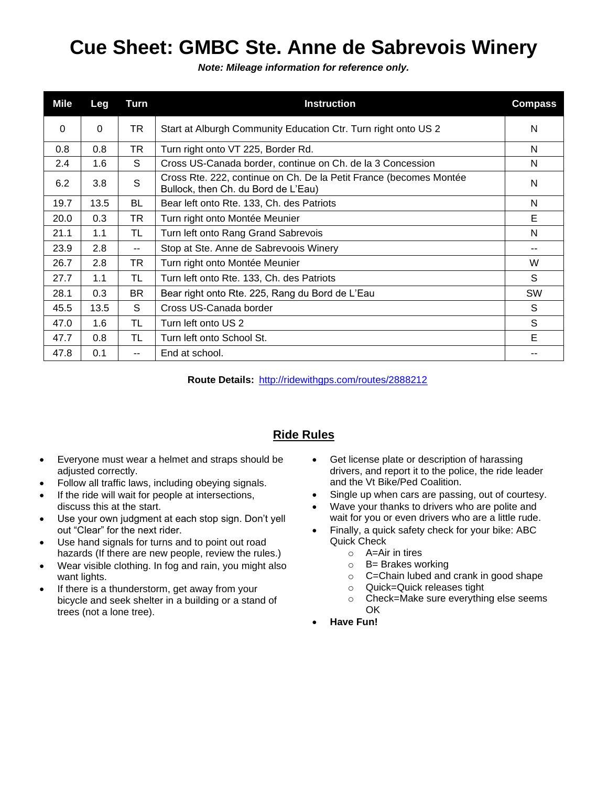## **Cue Sheet: GMBC Ste. Anne de Sabrevois Winery**

*Note: Mileage information for reference only.*

| Mile     | Leg      | Turn                     | <b>Instruction</b>                                                                                        | <b>Compass</b> |
|----------|----------|--------------------------|-----------------------------------------------------------------------------------------------------------|----------------|
| $\Omega$ | $\Omega$ | TR                       | Start at Alburgh Community Education Ctr. Turn right onto US 2                                            | N              |
| 0.8      | 0.8      | <b>TR</b>                | Turn right onto VT 225, Border Rd.                                                                        | N              |
| 2.4      | 1.6      | S                        | Cross US-Canada border, continue on Ch. de la 3 Concession                                                | N              |
| 6.2      | 3.8      | S                        | Cross Rte. 222, continue on Ch. De la Petit France (becomes Montée<br>Bullock, then Ch. du Bord de L'Eau) | N              |
| 19.7     | 13.5     | BL                       | Bear left onto Rte. 133, Ch. des Patriots                                                                 | N              |
| 20.0     | 0.3      | TR                       | Turn right onto Montée Meunier                                                                            | Е              |
| 21.1     | 1.1      | TL                       | Turn left onto Rang Grand Sabrevois                                                                       | N              |
| 23.9     | 2.8      | $\overline{\phantom{a}}$ | Stop at Ste. Anne de Sabrevoois Winery                                                                    | --             |
| 26.7     | 2.8      | TR                       | Turn right onto Montée Meunier                                                                            | W              |
| 27.7     | 1.1      | TL                       | Turn left onto Rte. 133, Ch. des Patriots                                                                 | S              |
| 28.1     | 0.3      | BR.                      | Bear right onto Rte. 225, Rang du Bord de L'Eau                                                           | <b>SW</b>      |
| 45.5     | 13.5     | S.                       | Cross US-Canada border                                                                                    | S              |
| 47.0     | 1.6      | TL                       | Turn left onto US 2                                                                                       | S              |
| 47.7     | 0.8      | TL                       | Turn left onto School St.                                                                                 | Е              |
| 47.8     | 0.1      | --                       | End at school.                                                                                            |                |

**Route Details:** <http://ridewithgps.com/routes/2888212>

## **Ride Rules**

- Everyone must wear a helmet and straps should be adjusted correctly.
- Follow all traffic laws, including obeying signals.
- If the ride will wait for people at intersections, discuss this at the start.
- Use your own judgment at each stop sign. Don't yell out "Clear" for the next rider.
- Use hand signals for turns and to point out road hazards (If there are new people, review the rules.)
- Wear visible clothing. In fog and rain, you might also want lights.
- If there is a thunderstorm, get away from your bicycle and seek shelter in a building or a stand of trees (not a lone tree).
- Get license plate or description of harassing drivers, and report it to the police, the ride leader and the Vt Bike/Ped Coalition.
- Single up when cars are passing, out of courtesy.
- Wave your thanks to drivers who are polite and wait for you or even drivers who are a little rude.
- Finally, a quick safety check for your bike: ABC Quick Check
	- o A=Air in tires
	- $\circ$  B= Brakes working
	- o C=Chain lubed and crank in good shape
	- o Quick=Quick releases tight
	- o Check=Make sure everything else seems OK
- **Have Fun!**